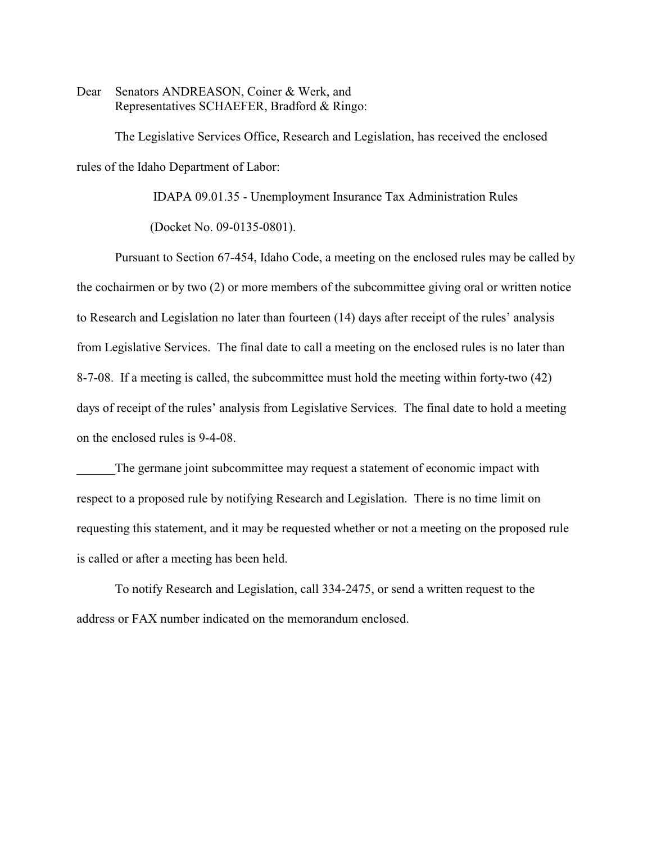Dear Senators ANDREASON, Coiner & Werk, and Representatives SCHAEFER, Bradford & Ringo:

The Legislative Services Office, Research and Legislation, has received the enclosed rules of the Idaho Department of Labor:

IDAPA 09.01.35 - Unemployment Insurance Tax Administration Rules

(Docket No. 09-0135-0801).

Pursuant to Section 67-454, Idaho Code, a meeting on the enclosed rules may be called by the cochairmen or by two (2) or more members of the subcommittee giving oral or written notice to Research and Legislation no later than fourteen (14) days after receipt of the rules' analysis from Legislative Services. The final date to call a meeting on the enclosed rules is no later than 8-7-08. If a meeting is called, the subcommittee must hold the meeting within forty-two (42) days of receipt of the rules' analysis from Legislative Services. The final date to hold a meeting on the enclosed rules is 9-4-08.

The germane joint subcommittee may request a statement of economic impact with respect to a proposed rule by notifying Research and Legislation. There is no time limit on requesting this statement, and it may be requested whether or not a meeting on the proposed rule is called or after a meeting has been held.

To notify Research and Legislation, call 334-2475, or send a written request to the address or FAX number indicated on the memorandum enclosed.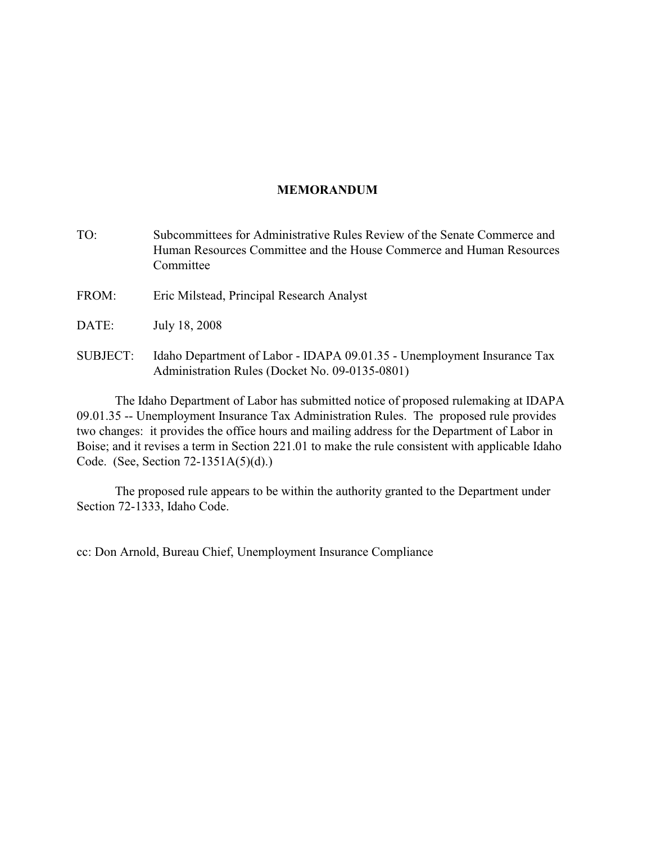# **MEMORANDUM**

- TO: Subcommittees for Administrative Rules Review of the Senate Commerce and Human Resources Committee and the House Commerce and Human Resources Committee
- FROM: Eric Milstead, Principal Research Analyst
- DATE: July 18, 2008
- SUBJECT: Idaho Department of Labor IDAPA 09.01.35 Unemployment Insurance Tax Administration Rules (Docket No. 09-0135-0801)

The Idaho Department of Labor has submitted notice of proposed rulemaking at IDAPA 09.01.35 -- Unemployment Insurance Tax Administration Rules. The proposed rule provides two changes: it provides the office hours and mailing address for the Department of Labor in Boise; and it revises a term in Section 221.01 to make the rule consistent with applicable Idaho Code. (See, Section 72-1351A(5)(d).)

The proposed rule appears to be within the authority granted to the Department under Section 72-1333, Idaho Code.

cc: Don Arnold, Bureau Chief, Unemployment Insurance Compliance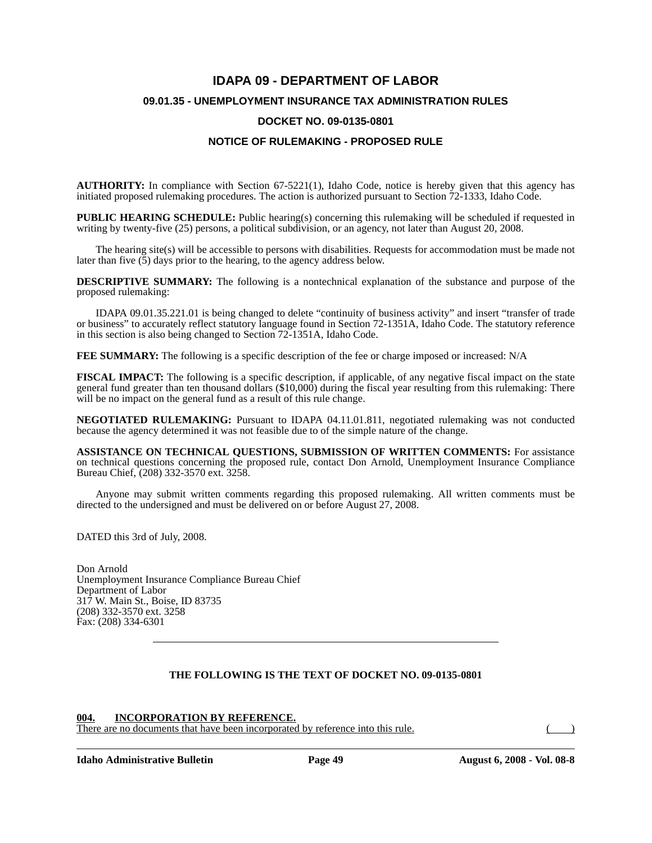# **IDAPA 09 - DEPARTMENT OF LABOR 09.01.35 - UNEMPLOYMENT INSURANCE TAX ADMINISTRATION RULES**

## **DOCKET NO. 09-0135-0801**

## **NOTICE OF RULEMAKING - PROPOSED RULE**

**AUTHORITY:** In compliance with Section 67-5221(1), Idaho Code, notice is hereby given that this agency has initiated proposed rulemaking procedures. The action is authorized pursuant to Section 72-1333, Idaho Code.

**PUBLIC HEARING SCHEDULE:** Public hearing(s) concerning this rulemaking will be scheduled if requested in writing by twenty-five (25) persons, a political subdivision, or an agency, not later than August 20, 2008.

The hearing site(s) will be accessible to persons with disabilities. Requests for accommodation must be made not later than five  $(5)$  days prior to the hearing, to the agency address below.

**DESCRIPTIVE SUMMARY:** The following is a nontechnical explanation of the substance and purpose of the proposed rulemaking:

IDAPA 09.01.35.221.01 is being changed to delete "continuity of business activity" and insert "transfer of trade or business" to accurately reflect statutory language found in Section 72-1351A, Idaho Code. The statutory reference in this section is also being changed to Section 72-1351A, Idaho Code.

**FEE SUMMARY:** The following is a specific description of the fee or charge imposed or increased: N/A

**FISCAL IMPACT:** The following is a specific description, if applicable, of any negative fiscal impact on the state general fund greater than ten thousand dollars (\$10,000) during the fiscal year resulting from this rulemaking: There will be no impact on the general fund as a result of this rule change.

**NEGOTIATED RULEMAKING:** Pursuant to IDAPA 04.11.01.811, negotiated rulemaking was not conducted because the agency determined it was not feasible due to of the simple nature of the change.

**ASSISTANCE ON TECHNICAL QUESTIONS, SUBMISSION OF WRITTEN COMMENTS:** For assistance on technical questions concerning the proposed rule, contact Don Arnold, Unemployment Insurance Compliance Bureau Chief, (208) 332-3570 ext. 3258.

Anyone may submit written comments regarding this proposed rulemaking. All written comments must be directed to the undersigned and must be delivered on or before August 27, 2008.

DATED this 3rd of July, 2008.

Don Arnold Unemployment Insurance Compliance Bureau Chief Department of Labor 317 W. Main St., Boise, ID 83735 (208) 332-3570 ext. 3258 Fax: (208) 334-6301

## **THE FOLLOWING IS THE TEXT OF DOCKET NO. 09-0135-0801**

#### **004. INCORPORATION BY REFERENCE.**

There are no documents that have been incorporated by reference into this rule. ()